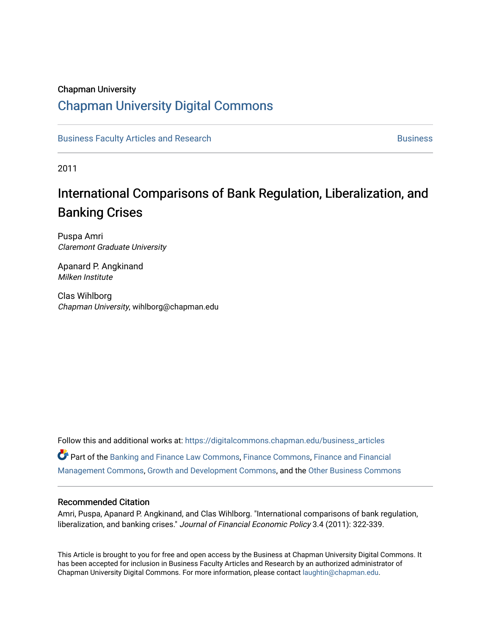#### Chapman University

### [Chapman University Digital Commons](https://digitalcommons.chapman.edu/)

[Business Faculty Articles and Research](https://digitalcommons.chapman.edu/business_articles) [Business](https://digitalcommons.chapman.edu/business) **Business** Business

2011

# International Comparisons of Bank Regulation, Liberalization, and Banking Crises

Puspa Amri Claremont Graduate University

Apanard P. Angkinand Milken Institute

Clas Wihlborg Chapman University, wihlborg@chapman.edu

Follow this and additional works at: [https://digitalcommons.chapman.edu/business\\_articles](https://digitalcommons.chapman.edu/business_articles?utm_source=digitalcommons.chapman.edu%2Fbusiness_articles%2F20&utm_medium=PDF&utm_campaign=PDFCoverPages)  Part of the [Banking and Finance Law Commons,](http://network.bepress.com/hgg/discipline/833?utm_source=digitalcommons.chapman.edu%2Fbusiness_articles%2F20&utm_medium=PDF&utm_campaign=PDFCoverPages) [Finance Commons,](http://network.bepress.com/hgg/discipline/345?utm_source=digitalcommons.chapman.edu%2Fbusiness_articles%2F20&utm_medium=PDF&utm_campaign=PDFCoverPages) [Finance and Financial](http://network.bepress.com/hgg/discipline/631?utm_source=digitalcommons.chapman.edu%2Fbusiness_articles%2F20&utm_medium=PDF&utm_campaign=PDFCoverPages)  [Management Commons](http://network.bepress.com/hgg/discipline/631?utm_source=digitalcommons.chapman.edu%2Fbusiness_articles%2F20&utm_medium=PDF&utm_campaign=PDFCoverPages), [Growth and Development Commons,](http://network.bepress.com/hgg/discipline/346?utm_source=digitalcommons.chapman.edu%2Fbusiness_articles%2F20&utm_medium=PDF&utm_campaign=PDFCoverPages) and the [Other Business Commons](http://network.bepress.com/hgg/discipline/647?utm_source=digitalcommons.chapman.edu%2Fbusiness_articles%2F20&utm_medium=PDF&utm_campaign=PDFCoverPages) 

#### Recommended Citation

Amri, Puspa, Apanard P. Angkinand, and Clas Wihlborg. "International comparisons of bank regulation, liberalization, and banking crises." Journal of Financial Economic Policy 3.4 (2011): 322-339.

This Article is brought to you for free and open access by the Business at Chapman University Digital Commons. It has been accepted for inclusion in Business Faculty Articles and Research by an authorized administrator of Chapman University Digital Commons. For more information, please contact [laughtin@chapman.edu](mailto:laughtin@chapman.edu).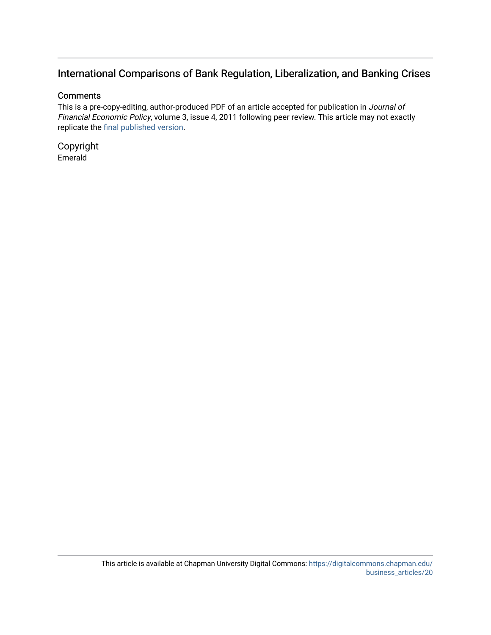### International Comparisons of Bank Regulation, Liberalization, and Banking Crises

#### **Comments**

This is a pre-copy-editing, author-produced PDF of an article accepted for publication in Journal of Financial Economic Policy, volume 3, issue 4, 2011 following peer review. This article may not exactly replicate the [final published version.](http://www.emeraldinsight.com/journal/jfep)

Copyright Emerald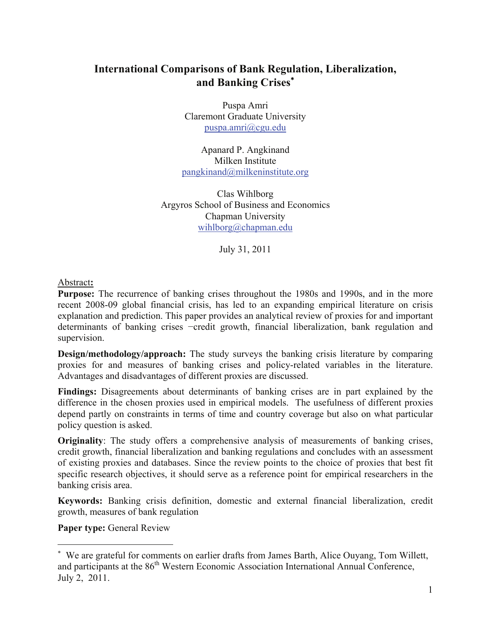### **International Comparisons of Bank Regulation, Liberalization, and Banking Crises**<sup>∗</sup>

Puspa Amri Claremont Graduate University puspa.amri@cgu.edu

Apanard P. Angkinand Milken Institute pangkinand@milkeninstitute.org

Clas Wihlborg Argyros School of Business and Economics Chapman University wihlborg@chapman.edu

July 31, 2011

Abstract**:**

**Purpose:** The recurrence of banking crises throughout the 1980s and 1990s, and in the more recent 2008-09 global financial crisis, has led to an expanding empirical literature on crisis explanation and prediction. This paper provides an analytical review of proxies for and important determinants of banking crises −credit growth, financial liberalization, bank regulation and supervision.

**Design/methodology/approach:** The study surveys the banking crisis literature by comparing proxies for and measures of banking crises and policy-related variables in the literature. Advantages and disadvantages of different proxies are discussed.

**Findings:** Disagreements about determinants of banking crises are in part explained by the difference in the chosen proxies used in empirical models. The usefulness of different proxies depend partly on constraints in terms of time and country coverage but also on what particular policy question is asked.

**Originality**: The study offers a comprehensive analysis of measurements of banking crises, credit growth, financial liberalization and banking regulations and concludes with an assessment of existing proxies and databases. Since the review points to the choice of proxies that best fit specific research objectives, it should serve as a reference point for empirical researchers in the banking crisis area.

**Keywords:** Banking crisis definition, domestic and external financial liberalization, credit growth, measures of bank regulation

**Paper type: General Review** 

<sup>∗</sup> We are grateful for comments on earlier drafts from James Barth, Alice Ouyang, Tom Willett, and participants at the 86<sup>th</sup> Western Economic Association International Annual Conference, July 2, 2011.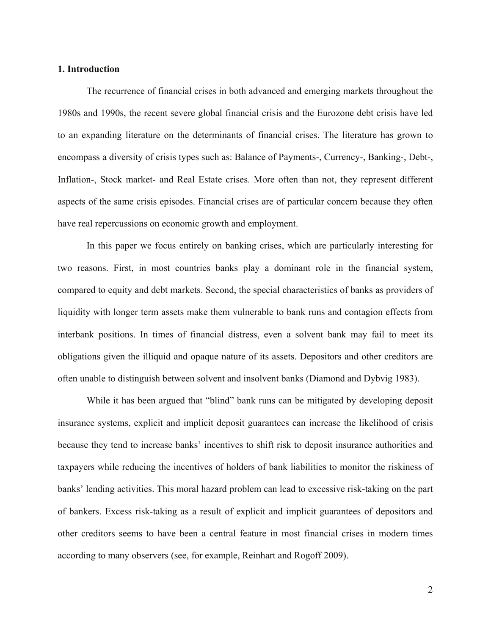#### **1. Introduction**

 The recurrence of financial crises in both advanced and emerging markets throughout the 1980s and 1990s, the recent severe global financial crisis and the Eurozone debt crisis have led to an expanding literature on the determinants of financial crises. The literature has grown to encompass a diversity of crisis types such as: Balance of Payments-, Currency-, Banking-, Debt-, Inflation-, Stock market- and Real Estate crises. More often than not, they represent different aspects of the same crisis episodes. Financial crises are of particular concern because they often have real repercussions on economic growth and employment.

In this paper we focus entirely on banking crises, which are particularly interesting for two reasons. First, in most countries banks play a dominant role in the financial system, compared to equity and debt markets. Second, the special characteristics of banks as providers of liquidity with longer term assets make them vulnerable to bank runs and contagion effects from interbank positions. In times of financial distress, even a solvent bank may fail to meet its obligations given the illiquid and opaque nature of its assets. Depositors and other creditors are often unable to distinguish between solvent and insolvent banks (Diamond and Dybvig 1983).

While it has been argued that "blind" bank runs can be mitigated by developing deposit insurance systems, explicit and implicit deposit guarantees can increase the likelihood of crisis because they tend to increase banks' incentives to shift risk to deposit insurance authorities and taxpayers while reducing the incentives of holders of bank liabilities to monitor the riskiness of banks' lending activities. This moral hazard problem can lead to excessive risk-taking on the part of bankers. Excess risk-taking as a result of explicit and implicit guarantees of depositors and other creditors seems to have been a central feature in most financial crises in modern times according to many observers (see, for example, Reinhart and Rogoff 2009).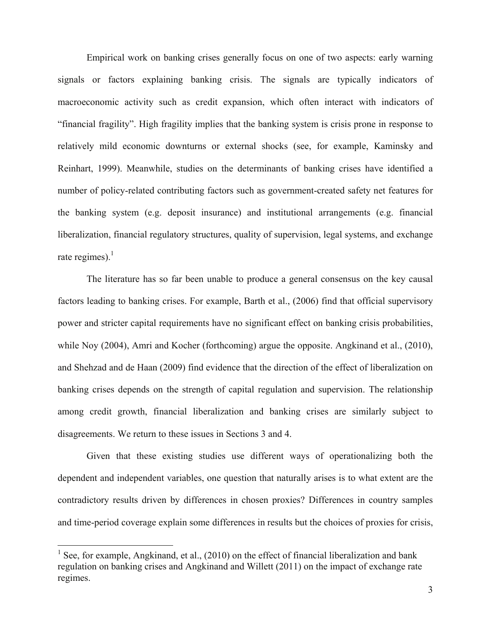Empirical work on banking crises generally focus on one of two aspects: early warning signals or factors explaining banking crisis. The signals are typically indicators of macroeconomic activity such as credit expansion, which often interact with indicators of "financial fragility". High fragility implies that the banking system is crisis prone in response to relatively mild economic downturns or external shocks (see, for example, Kaminsky and Reinhart, 1999). Meanwhile, studies on the determinants of banking crises have identified a number of policy-related contributing factors such as government-created safety net features for the banking system (e.g. deposit insurance) and institutional arrangements (e.g. financial liberalization, financial regulatory structures, quality of supervision, legal systems, and exchange rate regimes). $<sup>1</sup>$ </sup>

The literature has so far been unable to produce a general consensus on the key causal factors leading to banking crises. For example, Barth et al., (2006) find that official supervisory power and stricter capital requirements have no significant effect on banking crisis probabilities, while Noy (2004), Amri and Kocher (forthcoming) argue the opposite. Angkinand et al., (2010), and Shehzad and de Haan (2009) find evidence that the direction of the effect of liberalization on banking crises depends on the strength of capital regulation and supervision. The relationship among credit growth, financial liberalization and banking crises are similarly subject to disagreements. We return to these issues in Sections 3 and 4.

 Given that these existing studies use different ways of operationalizing both the dependent and independent variables, one question that naturally arises is to what extent are the contradictory results driven by differences in chosen proxies? Differences in country samples and time-period coverage explain some differences in results but the choices of proxies for crisis,

<sup>&</sup>lt;sup>1</sup> See, for example, Angkinand, et al., (2010) on the effect of financial liberalization and bank regulation on banking crises and Angkinand and Willett (2011) on the impact of exchange rate regimes.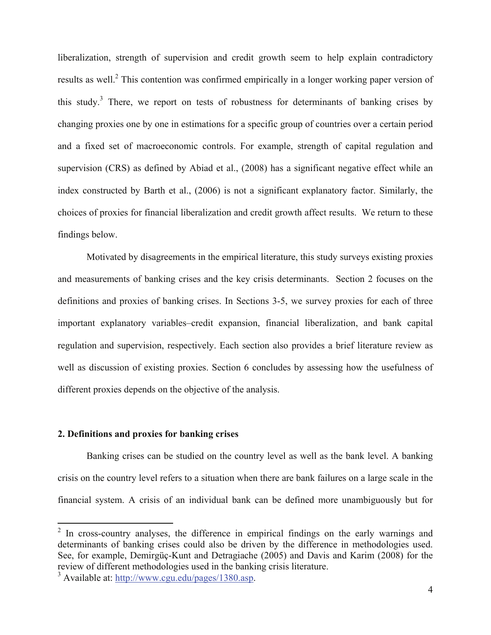liberalization, strength of supervision and credit growth seem to help explain contradictory results as well.<sup>2</sup> This contention was confirmed empirically in a longer working paper version of this study.<sup>3</sup> There, we report on tests of robustness for determinants of banking crises by changing proxies one by one in estimations for a specific group of countries over a certain period and a fixed set of macroeconomic controls. For example, strength of capital regulation and supervision (CRS) as defined by Abiad et al., (2008) has a significant negative effect while an index constructed by Barth et al., (2006) is not a significant explanatory factor. Similarly, the choices of proxies for financial liberalization and credit growth affect results. We return to these findings below.

 Motivated by disagreements in the empirical literature, this study surveys existing proxies and measurements of banking crises and the key crisis determinants. Section 2 focuses on the definitions and proxies of banking crises. In Sections 3-5, we survey proxies for each of three important explanatory variables–credit expansion, financial liberalization, and bank capital regulation and supervision, respectively. Each section also provides a brief literature review as well as discussion of existing proxies. Section 6 concludes by assessing how the usefulness of different proxies depends on the objective of the analysis.

#### **2. Definitions and proxies for banking crises**

 $\overline{a}$ 

Banking crises can be studied on the country level as well as the bank level. A banking crisis on the country level refers to a situation when there are bank failures on a large scale in the financial system. A crisis of an individual bank can be defined more unambiguously but for

 $2$  In cross-country analyses, the difference in empirical findings on the early warnings and determinants of banking crises could also be driven by the difference in methodologies used. See, for example, Demirgüç-Kunt and Detragiache (2005) and Davis and Karim (2008) for the review of different methodologies used in the banking crisis literature.

<sup>&</sup>lt;sup>3</sup> Available at: http://www.cgu.edu/pages/1380.asp.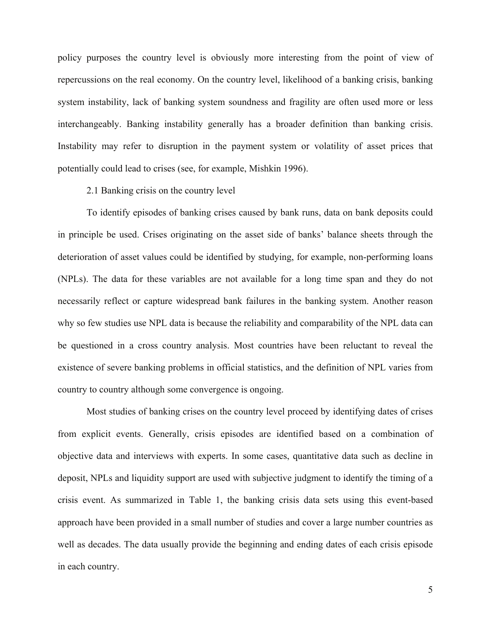policy purposes the country level is obviously more interesting from the point of view of repercussions on the real economy. On the country level, likelihood of a banking crisis, banking system instability, lack of banking system soundness and fragility are often used more or less interchangeably. Banking instability generally has a broader definition than banking crisis. Instability may refer to disruption in the payment system or volatility of asset prices that potentially could lead to crises (see, for example, Mishkin 1996).

#### 2.1 Banking crisis on the country level

To identify episodes of banking crises caused by bank runs, data on bank deposits could in principle be used. Crises originating on the asset side of banks' balance sheets through the deterioration of asset values could be identified by studying, for example, non-performing loans (NPLs). The data for these variables are not available for a long time span and they do not necessarily reflect or capture widespread bank failures in the banking system. Another reason why so few studies use NPL data is because the reliability and comparability of the NPL data can be questioned in a cross country analysis. Most countries have been reluctant to reveal the existence of severe banking problems in official statistics, and the definition of NPL varies from country to country although some convergence is ongoing.

Most studies of banking crises on the country level proceed by identifying dates of crises from explicit events. Generally, crisis episodes are identified based on a combination of objective data and interviews with experts. In some cases, quantitative data such as decline in deposit, NPLs and liquidity support are used with subjective judgment to identify the timing of a crisis event. As summarized in Table 1, the banking crisis data sets using this event-based approach have been provided in a small number of studies and cover a large number countries as well as decades. The data usually provide the beginning and ending dates of each crisis episode in each country.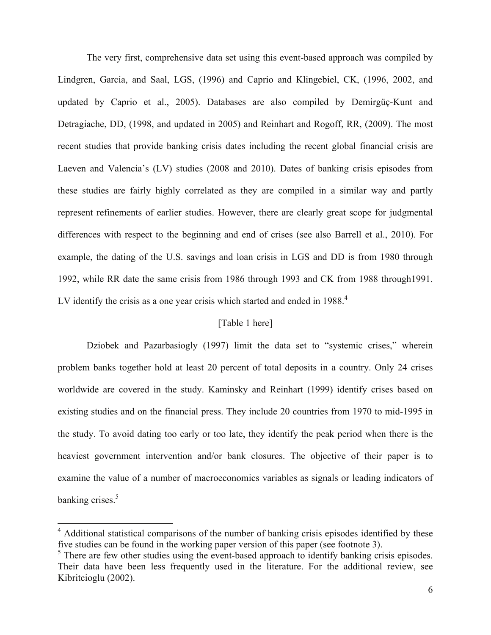The very first, comprehensive data set using this event-based approach was compiled by Lindgren, Garcia, and Saal, LGS, (1996) and Caprio and Klingebiel, CK, (1996, 2002, and updated by Caprio et al., 2005). Databases are also compiled by Demirgüç-Kunt and Detragiache, DD, (1998, and updated in 2005) and Reinhart and Rogoff, RR, (2009). The most recent studies that provide banking crisis dates including the recent global financial crisis are Laeven and Valencia's (LV) studies (2008 and 2010). Dates of banking crisis episodes from these studies are fairly highly correlated as they are compiled in a similar way and partly represent refinements of earlier studies. However, there are clearly great scope for judgmental differences with respect to the beginning and end of crises (see also Barrell et al., 2010). For example, the dating of the U.S. savings and loan crisis in LGS and DD is from 1980 through 1992, while RR date the same crisis from 1986 through 1993 and CK from 1988 through1991. LV identify the crisis as a one year crisis which started and ended in  $1988<sup>4</sup>$ 

#### [Table 1 here]

Dziobek and Pazarbasiogly (1997) limit the data set to "systemic crises," wherein problem banks together hold at least 20 percent of total deposits in a country. Only 24 crises worldwide are covered in the study. Kaminsky and Reinhart (1999) identify crises based on existing studies and on the financial press. They include 20 countries from 1970 to mid-1995 in the study. To avoid dating too early or too late, they identify the peak period when there is the heaviest government intervention and/or bank closures. The objective of their paper is to examine the value of a number of macroeconomics variables as signals or leading indicators of banking crises.<sup>5</sup>

<sup>&</sup>lt;sup>4</sup> Additional statistical comparisons of the number of banking crisis episodes identified by these five studies can be found in the working paper version of this paper (see footnote 3).

<sup>&</sup>lt;sup>5</sup> There are few other studies using the event-based approach to identify banking crisis episodes. Their data have been less frequently used in the literature. For the additional review, see Kibritcioglu (2002).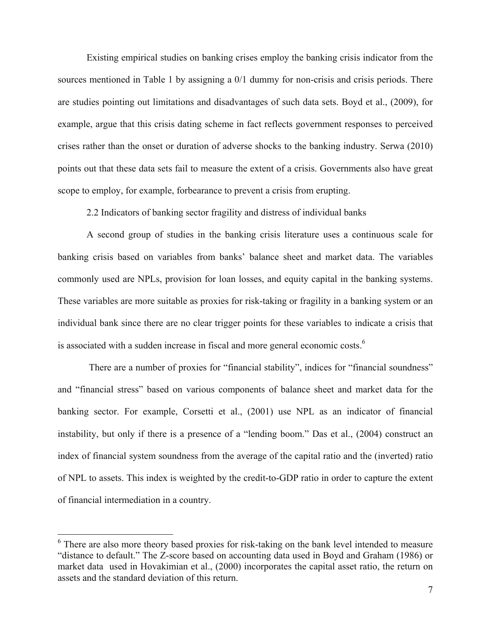Existing empirical studies on banking crises employ the banking crisis indicator from the sources mentioned in Table 1 by assigning a 0/1 dummy for non-crisis and crisis periods. There are studies pointing out limitations and disadvantages of such data sets. Boyd et al., (2009), for example, argue that this crisis dating scheme in fact reflects government responses to perceived crises rather than the onset or duration of adverse shocks to the banking industry. Serwa (2010) points out that these data sets fail to measure the extent of a crisis. Governments also have great scope to employ, for example, forbearance to prevent a crisis from erupting.

2.2 Indicators of banking sector fragility and distress of individual banks

A second group of studies in the banking crisis literature uses a continuous scale for banking crisis based on variables from banks' balance sheet and market data. The variables commonly used are NPLs, provision for loan losses, and equity capital in the banking systems. These variables are more suitable as proxies for risk-taking or fragility in a banking system or an individual bank since there are no clear trigger points for these variables to indicate a crisis that is associated with a sudden increase in fiscal and more general economic costs. $<sup>6</sup>$ </sup>

 There are a number of proxies for "financial stability", indices for "financial soundness" and "financial stress" based on various components of balance sheet and market data for the banking sector. For example, Corsetti et al., (2001) use NPL as an indicator of financial instability, but only if there is a presence of a "lending boom." Das et al., (2004) construct an index of financial system soundness from the average of the capital ratio and the (inverted) ratio of NPL to assets. This index is weighted by the credit-to-GDP ratio in order to capture the extent of financial intermediation in a country.

<sup>&</sup>lt;sup>6</sup> There are also more theory based proxies for risk-taking on the bank level intended to measure "distance to default." The Z-score based on accounting data used in Boyd and Graham (1986) or market data used in Hovakimian et al., (2000) incorporates the capital asset ratio, the return on assets and the standard deviation of this return.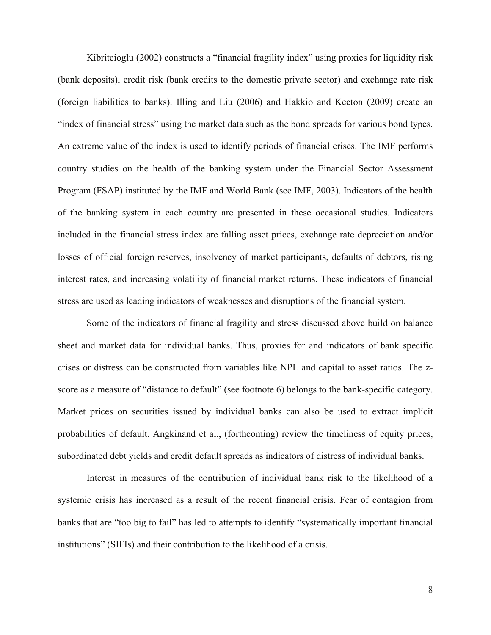Kibritcioglu (2002) constructs a "financial fragility index" using proxies for liquidity risk (bank deposits), credit risk (bank credits to the domestic private sector) and exchange rate risk (foreign liabilities to banks). Illing and Liu (2006) and Hakkio and Keeton (2009) create an "index of financial stress" using the market data such as the bond spreads for various bond types. An extreme value of the index is used to identify periods of financial crises. The IMF performs country studies on the health of the banking system under the Financial Sector Assessment Program (FSAP) instituted by the IMF and World Bank (see IMF, 2003). Indicators of the health of the banking system in each country are presented in these occasional studies. Indicators included in the financial stress index are falling asset prices, exchange rate depreciation and/or losses of official foreign reserves, insolvency of market participants, defaults of debtors, rising interest rates, and increasing volatility of financial market returns. These indicators of financial stress are used as leading indicators of weaknesses and disruptions of the financial system.

Some of the indicators of financial fragility and stress discussed above build on balance sheet and market data for individual banks. Thus, proxies for and indicators of bank specific crises or distress can be constructed from variables like NPL and capital to asset ratios. The zscore as a measure of "distance to default" (see footnote 6) belongs to the bank-specific category. Market prices on securities issued by individual banks can also be used to extract implicit probabilities of default. Angkinand et al., (forthcoming) review the timeliness of equity prices, subordinated debt yields and credit default spreads as indicators of distress of individual banks.

 Interest in measures of the contribution of individual bank risk to the likelihood of a systemic crisis has increased as a result of the recent financial crisis. Fear of contagion from banks that are "too big to fail" has led to attempts to identify "systematically important financial institutions" (SIFIs) and their contribution to the likelihood of a crisis.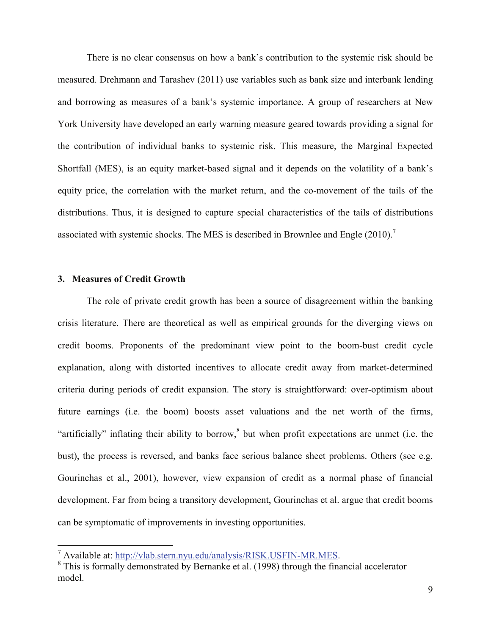There is no clear consensus on how a bank's contribution to the systemic risk should be measured. Drehmann and Tarashev (2011) use variables such as bank size and interbank lending and borrowing as measures of a bank's systemic importance. A group of researchers at New York University have developed an early warning measure geared towards providing a signal for the contribution of individual banks to systemic risk. This measure, the Marginal Expected Shortfall (MES), is an equity market-based signal and it depends on the volatility of a bank's equity price, the correlation with the market return, and the co-movement of the tails of the distributions. Thus, it is designed to capture special characteristics of the tails of distributions associated with systemic shocks. The MES is described in Brownlee and Engle (2010).7

#### **3. Measures of Credit Growth**

1

The role of private credit growth has been a source of disagreement within the banking crisis literature. There are theoretical as well as empirical grounds for the diverging views on credit booms. Proponents of the predominant view point to the boom-bust credit cycle explanation, along with distorted incentives to allocate credit away from market-determined criteria during periods of credit expansion. The story is straightforward: over-optimism about future earnings (i.e. the boom) boosts asset valuations and the net worth of the firms, "artificially" inflating their ability to borrow, $8$  but when profit expectations are unmet (i.e. the bust), the process is reversed, and banks face serious balance sheet problems. Others (see e.g. Gourinchas et al., 2001), however, view expansion of credit as a normal phase of financial development. Far from being a transitory development, Gourinchas et al. argue that credit booms can be symptomatic of improvements in investing opportunities.

<sup>&</sup>lt;sup>7</sup> Available at: http://vlab.stern.nyu.edu/analysis/RISK.USFIN-MR.MES.

Available at:  $\frac{http://vlab.stern.nyu.edu/analysis/RISK.USFIN-MR.MES}{http://vlab.stern.nyu.edu/analysis/RISK.USFIN-MR.MES}.$ model.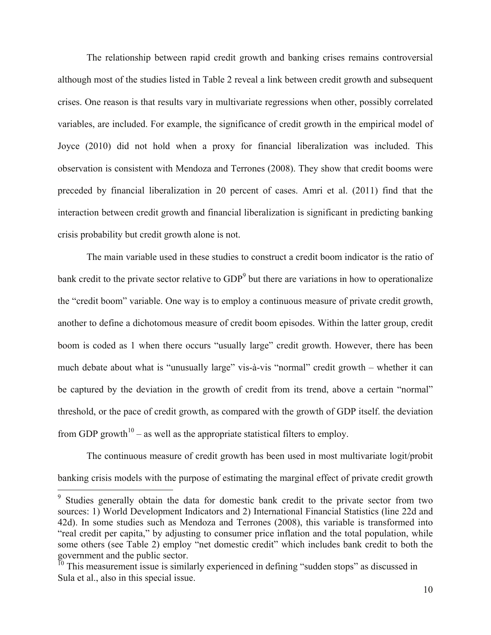The relationship between rapid credit growth and banking crises remains controversial although most of the studies listed in Table 2 reveal a link between credit growth and subsequent crises. One reason is that results vary in multivariate regressions when other, possibly correlated variables, are included. For example, the significance of credit growth in the empirical model of Joyce (2010) did not hold when a proxy for financial liberalization was included. This observation is consistent with Mendoza and Terrones (2008). They show that credit booms were preceded by financial liberalization in 20 percent of cases. Amri et al. (2011) find that the interaction between credit growth and financial liberalization is significant in predicting banking crisis probability but credit growth alone is not.

The main variable used in these studies to construct a credit boom indicator is the ratio of bank credit to the private sector relative to GDP<sup>9</sup> but there are variations in how to operationalize the "credit boom" variable. One way is to employ a continuous measure of private credit growth, another to define a dichotomous measure of credit boom episodes. Within the latter group, credit boom is coded as 1 when there occurs "usually large" credit growth. However, there has been much debate about what is "unusually large" vis-à-vis "normal" credit growth – whether it can be captured by the deviation in the growth of credit from its trend, above a certain "normal" threshold, or the pace of credit growth, as compared with the growth of GDP itself. the deviation from GDP growth<sup>10</sup> – as well as the appropriate statistical filters to employ.

The continuous measure of credit growth has been used in most multivariate logit/probit banking crisis models with the purpose of estimating the marginal effect of private credit growth

<sup>&</sup>lt;sup>9</sup> Studies generally obtain the data for domestic bank credit to the private sector from two sources: 1) World Development Indicators and 2) International Financial Statistics (line 22d and 42d). In some studies such as Mendoza and Terrones (2008), this variable is transformed into "real credit per capita," by adjusting to consumer price inflation and the total population, while some others (see Table 2) employ "net domestic credit" which includes bank credit to both the government and the public sector.

<sup>&</sup>lt;sup>10</sup> This measurement issue is similarly experienced in defining "sudden stops" as discussed in Sula et al., also in this special issue.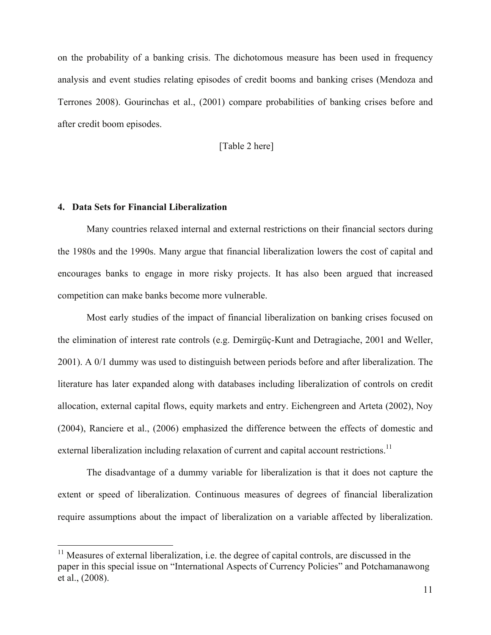on the probability of a banking crisis. The dichotomous measure has been used in frequency analysis and event studies relating episodes of credit booms and banking crises (Mendoza and Terrones 2008). Gourinchas et al., (2001) compare probabilities of banking crises before and after credit boom episodes.

[Table 2 here]

#### **4. Data Sets for Financial Liberalization**

 $\overline{a}$ 

Many countries relaxed internal and external restrictions on their financial sectors during the 1980s and the 1990s. Many argue that financial liberalization lowers the cost of capital and encourages banks to engage in more risky projects. It has also been argued that increased competition can make banks become more vulnerable.

Most early studies of the impact of financial liberalization on banking crises focused on the elimination of interest rate controls (e.g. Demirgüç-Kunt and Detragiache, 2001 and Weller, 2001). A 0/1 dummy was used to distinguish between periods before and after liberalization. The literature has later expanded along with databases including liberalization of controls on credit allocation, external capital flows, equity markets and entry. Eichengreen and Arteta (2002), Noy (2004), Ranciere et al., (2006) emphasized the difference between the effects of domestic and external liberalization including relaxation of current and capital account restrictions.<sup>11</sup>

The disadvantage of a dummy variable for liberalization is that it does not capture the extent or speed of liberalization. Continuous measures of degrees of financial liberalization require assumptions about the impact of liberalization on a variable affected by liberalization.

 $11$  Measures of external liberalization, i.e. the degree of capital controls, are discussed in the paper in this special issue on "International Aspects of Currency Policies" and Potchamanawong et al., (2008).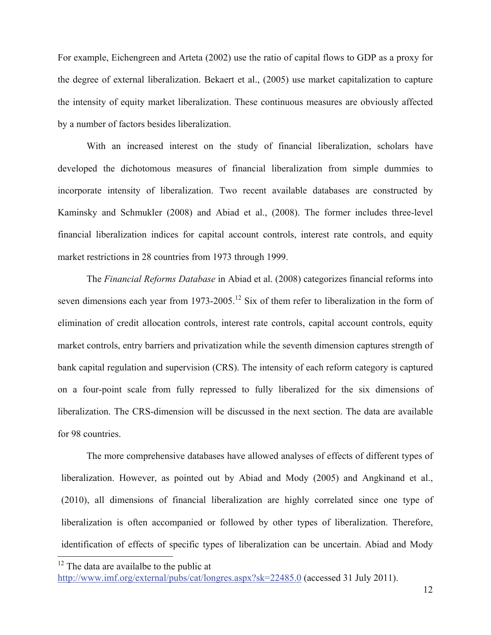For example, Eichengreen and Arteta (2002) use the ratio of capital flows to GDP as a proxy for the degree of external liberalization. Bekaert et al., (2005) use market capitalization to capture the intensity of equity market liberalization. These continuous measures are obviously affected by a number of factors besides liberalization.

With an increased interest on the study of financial liberalization, scholars have developed the dichotomous measures of financial liberalization from simple dummies to incorporate intensity of liberalization. Two recent available databases are constructed by Kaminsky and Schmukler (2008) and Abiad et al., (2008). The former includes three-level financial liberalization indices for capital account controls, interest rate controls, and equity market restrictions in 28 countries from 1973 through 1999.

The *Financial Reforms Database* in Abiad et al. (2008) categorizes financial reforms into seven dimensions each year from 1973-2005.<sup>12</sup> Six of them refer to liberalization in the form of elimination of credit allocation controls, interest rate controls, capital account controls, equity market controls, entry barriers and privatization while the seventh dimension captures strength of bank capital regulation and supervision (CRS). The intensity of each reform category is captured on a four-point scale from fully repressed to fully liberalized for the six dimensions of liberalization. The CRS-dimension will be discussed in the next section. The data are available for 98 countries.

The more comprehensive databases have allowed analyses of effects of different types of liberalization. However, as pointed out by Abiad and Mody (2005) and Angkinand et al., (2010), all dimensions of financial liberalization are highly correlated since one type of liberalization is often accompanied or followed by other types of liberalization. Therefore, identification of effects of specific types of liberalization can be uncertain. Abiad and Mody  $\overline{a}$ 

 $12$  The data are availalbe to the public at http://www.imf.org/external/pubs/cat/longres.aspx?sk=22485.0 (accessed 31 July 2011).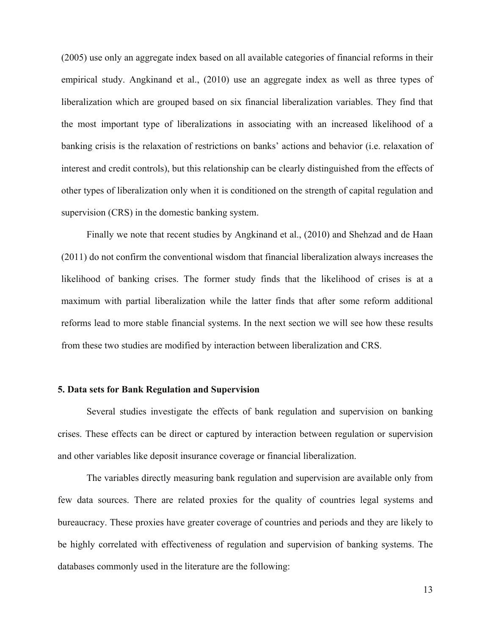(2005) use only an aggregate index based on all available categories of financial reforms in their empirical study. Angkinand et al., (2010) use an aggregate index as well as three types of liberalization which are grouped based on six financial liberalization variables. They find that the most important type of liberalizations in associating with an increased likelihood of a banking crisis is the relaxation of restrictions on banks' actions and behavior (i.e. relaxation of interest and credit controls), but this relationship can be clearly distinguished from the effects of other types of liberalization only when it is conditioned on the strength of capital regulation and supervision (CRS) in the domestic banking system.

Finally we note that recent studies by Angkinand et al., (2010) and Shehzad and de Haan (2011) do not confirm the conventional wisdom that financial liberalization always increases the likelihood of banking crises. The former study finds that the likelihood of crises is at a maximum with partial liberalization while the latter finds that after some reform additional reforms lead to more stable financial systems. In the next section we will see how these results from these two studies are modified by interaction between liberalization and CRS.

#### **5. Data sets for Bank Regulation and Supervision**

Several studies investigate the effects of bank regulation and supervision on banking crises. These effects can be direct or captured by interaction between regulation or supervision and other variables like deposit insurance coverage or financial liberalization.

The variables directly measuring bank regulation and supervision are available only from few data sources. There are related proxies for the quality of countries legal systems and bureaucracy. These proxies have greater coverage of countries and periods and they are likely to be highly correlated with effectiveness of regulation and supervision of banking systems. The databases commonly used in the literature are the following: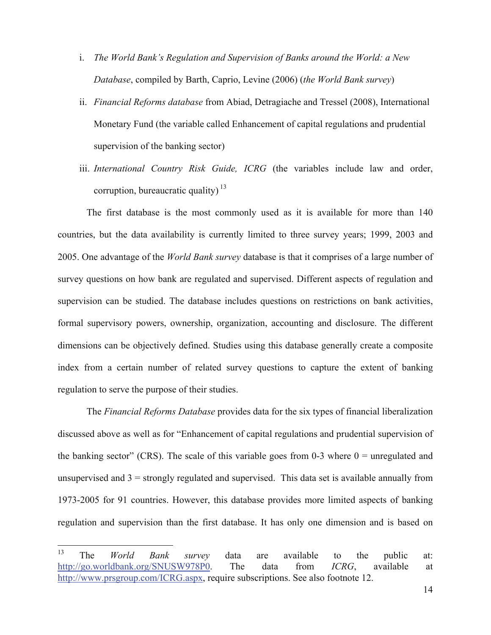- i. *The World Bank's Regulation and Supervision of Banks around the World: a New Database*, compiled by Barth, Caprio, Levine (2006) (*the World Bank survey*)
- ii. *Financial Reforms database* from Abiad, Detragiache and Tressel (2008), International Monetary Fund (the variable called Enhancement of capital regulations and prudential supervision of the banking sector)
- iii. *International Country Risk Guide, ICRG* (the variables include law and order, corruption, bureaucratic quality)<sup>13</sup>

The first database is the most commonly used as it is available for more than 140 countries, but the data availability is currently limited to three survey years; 1999, 2003 and 2005. One advantage of the *World Bank survey* database is that it comprises of a large number of survey questions on how bank are regulated and supervised. Different aspects of regulation and supervision can be studied. The database includes questions on restrictions on bank activities, formal supervisory powers, ownership, organization, accounting and disclosure. The different dimensions can be objectively defined. Studies using this database generally create a composite index from a certain number of related survey questions to capture the extent of banking regulation to serve the purpose of their studies.

The *Financial Reforms Database* provides data for the six types of financial liberalization discussed above as well as for "Enhancement of capital regulations and prudential supervision of the banking sector" (CRS). The scale of this variable goes from 0-3 where  $0 =$  unregulated and unsupervised and  $3 =$  strongly regulated and supervised. This data set is available annually from 1973-2005 for 91 countries. However, this database provides more limited aspects of banking regulation and supervision than the first database. It has only one dimension and is based on

<sup>13</sup> 13 The *World Bank survey* data are available to the public at: http://go.worldbank.org/SNUSW978P0. The data from *ICRG*, available at http://www.prsgroup.com/ICRG.aspx, require subscriptions. See also footnote 12.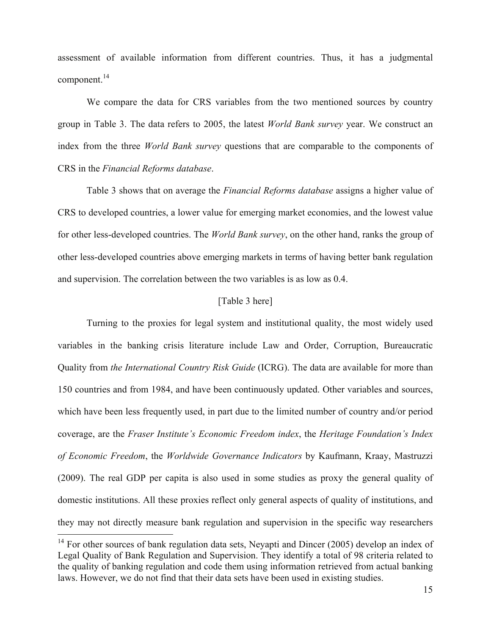assessment of available information from different countries. Thus, it has a judgmental component.<sup>14</sup>

We compare the data for CRS variables from the two mentioned sources by country group in Table 3. The data refers to 2005, the latest *World Bank survey* year. We construct an index from the three *World Bank survey* questions that are comparable to the components of CRS in the *Financial Reforms database*.

Table 3 shows that on average the *Financial Reforms database* assigns a higher value of CRS to developed countries, a lower value for emerging market economies, and the lowest value for other less-developed countries. The *World Bank survey*, on the other hand, ranks the group of other less-developed countries above emerging markets in terms of having better bank regulation and supervision. The correlation between the two variables is as low as 0.4.

#### [Table 3 here]

Turning to the proxies for legal system and institutional quality, the most widely used variables in the banking crisis literature include Law and Order, Corruption, Bureaucratic Quality from *the International Country Risk Guide* (ICRG). The data are available for more than 150 countries and from 1984, and have been continuously updated. Other variables and sources, which have been less frequently used, in part due to the limited number of country and/or period coverage, are the *Fraser Institute's Economic Freedom index*, the *Heritage Foundation's Index of Economic Freedom*, the *Worldwide Governance Indicators* by Kaufmann, Kraay, Mastruzzi (2009). The real GDP per capita is also used in some studies as proxy the general quality of domestic institutions. All these proxies reflect only general aspects of quality of institutions, and they may not directly measure bank regulation and supervision in the specific way researchers

 $14$  For other sources of bank regulation data sets, Neyapti and Dincer (2005) develop an index of Legal Quality of Bank Regulation and Supervision. They identify a total of 98 criteria related to the quality of banking regulation and code them using information retrieved from actual banking laws. However, we do not find that their data sets have been used in existing studies.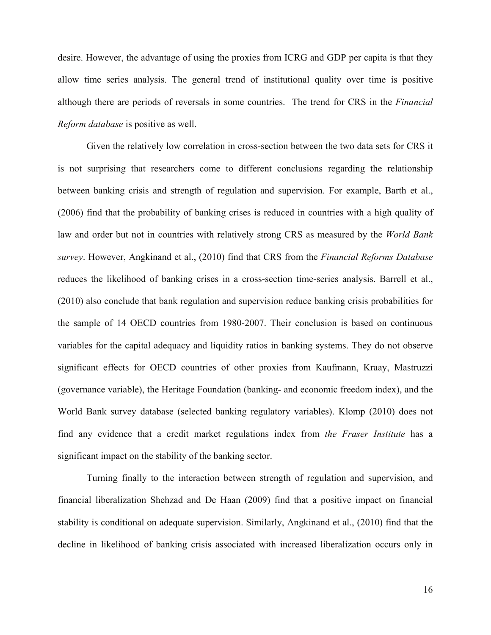desire. However, the advantage of using the proxies from ICRG and GDP per capita is that they allow time series analysis. The general trend of institutional quality over time is positive although there are periods of reversals in some countries. The trend for CRS in the *Financial Reform database* is positive as well.

Given the relatively low correlation in cross-section between the two data sets for CRS it is not surprising that researchers come to different conclusions regarding the relationship between banking crisis and strength of regulation and supervision. For example, Barth et al., (2006) find that the probability of banking crises is reduced in countries with a high quality of law and order but not in countries with relatively strong CRS as measured by the *World Bank survey*. However, Angkinand et al., (2010) find that CRS from the *Financial Reforms Database* reduces the likelihood of banking crises in a cross-section time-series analysis. Barrell et al., (2010) also conclude that bank regulation and supervision reduce banking crisis probabilities for the sample of 14 OECD countries from 1980-2007. Their conclusion is based on continuous variables for the capital adequacy and liquidity ratios in banking systems. They do not observe significant effects for OECD countries of other proxies from Kaufmann, Kraay, Mastruzzi (governance variable), the Heritage Foundation (banking- and economic freedom index), and the World Bank survey database (selected banking regulatory variables). Klomp (2010) does not find any evidence that a credit market regulations index from *the Fraser Institute* has a significant impact on the stability of the banking sector.

Turning finally to the interaction between strength of regulation and supervision, and financial liberalization Shehzad and De Haan (2009) find that a positive impact on financial stability is conditional on adequate supervision. Similarly, Angkinand et al., (2010) find that the decline in likelihood of banking crisis associated with increased liberalization occurs only in

16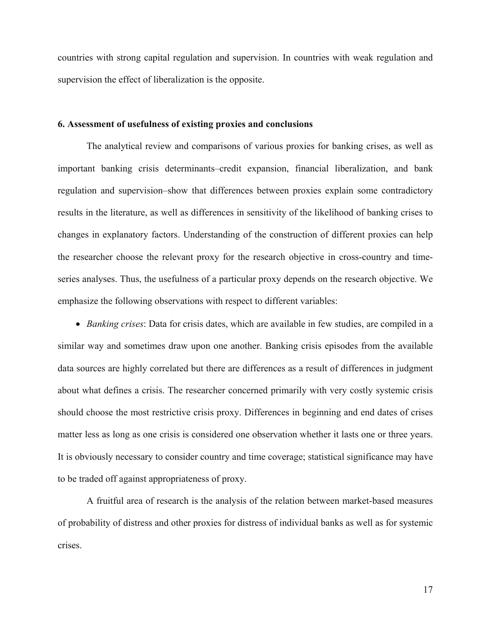countries with strong capital regulation and supervision. In countries with weak regulation and supervision the effect of liberalization is the opposite.

#### **6. Assessment of usefulness of existing proxies and conclusions**

The analytical review and comparisons of various proxies for banking crises, as well as important banking crisis determinants–credit expansion, financial liberalization, and bank regulation and supervision–show that differences between proxies explain some contradictory results in the literature, as well as differences in sensitivity of the likelihood of banking crises to changes in explanatory factors. Understanding of the construction of different proxies can help the researcher choose the relevant proxy for the research objective in cross-country and timeseries analyses. Thus, the usefulness of a particular proxy depends on the research objective. We emphasize the following observations with respect to different variables:

• *Banking crises*: Data for crisis dates, which are available in few studies, are compiled in a similar way and sometimes draw upon one another. Banking crisis episodes from the available data sources are highly correlated but there are differences as a result of differences in judgment about what defines a crisis. The researcher concerned primarily with very costly systemic crisis should choose the most restrictive crisis proxy. Differences in beginning and end dates of crises matter less as long as one crisis is considered one observation whether it lasts one or three years. It is obviously necessary to consider country and time coverage; statistical significance may have to be traded off against appropriateness of proxy.

 A fruitful area of research is the analysis of the relation between market-based measures of probability of distress and other proxies for distress of individual banks as well as for systemic crises.

17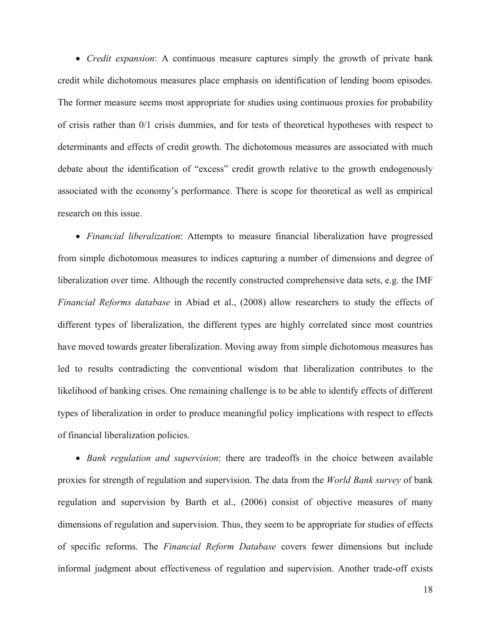• *Credit expansion*: A continuous measure captures simply the growth of private bank credit while dichotomous measures place emphasis on identification of lending boom episodes. The former measure seems most appropriate for studies using continuous proxies for probability of crisis rather than 0/1 crisis dummies, and for tests of theoretical hypotheses with respect to determinants and effects of credit growth. The dichotomous measures are associated with much debate about the identification of "excess" credit growth relative to the growth endogenously associated with the economy's performance. There is scope for theoretical as well as empirical research on this issue.

• *Financial liberalization*: Attempts to measure financial liberalization have progressed from simple dichotomous measures to indices capturing a number of dimensions and degree of liberalization over time. Although the recently constructed comprehensive data sets, e.g. the IMF *Financial Reforms database* in Abiad et al., (2008) allow researchers to study the effects of different types of liberalization, the different types are highly correlated since most countries have moved towards greater liberalization. Moving away from simple dichotomous measures has led to results contradicting the conventional wisdom that liberalization contributes to the likelihood of banking crises. One remaining challenge is to be able to identify effects of different types of liberalization in order to produce meaningful policy implications with respect to effects of financial liberalization policies.

• *Bank regulation and supervision*: there are tradeoffs in the choice between available proxies for strength of regulation and supervision. The data from the *World Bank survey* of bank regulation and supervision by Barth et al., (2006) consist of objective measures of many dimensions of regulation and supervision. Thus, they seem to be appropriate for studies of effects of specific reforms. The *Financial Reform Database* covers fewer dimensions but include informal judgment about effectiveness of regulation and supervision. Another trade-off exists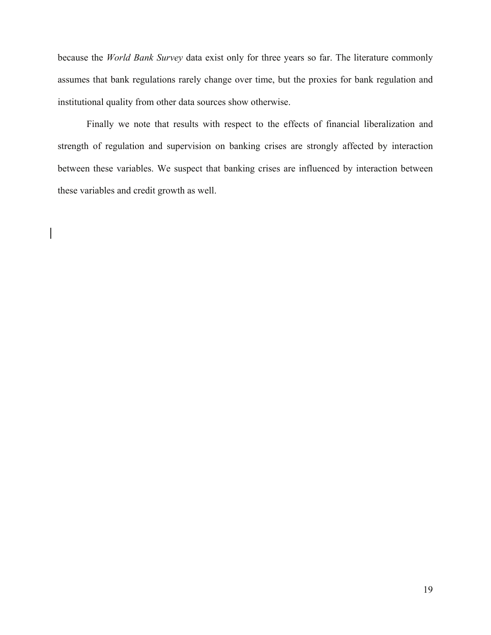because the *World Bank Survey* data exist only for three years so far. The literature commonly assumes that bank regulations rarely change over time, but the proxies for bank regulation and institutional quality from other data sources show otherwise.

 Finally we note that results with respect to the effects of financial liberalization and strength of regulation and supervision on banking crises are strongly affected by interaction between these variables. We suspect that banking crises are influenced by interaction between these variables and credit growth as well.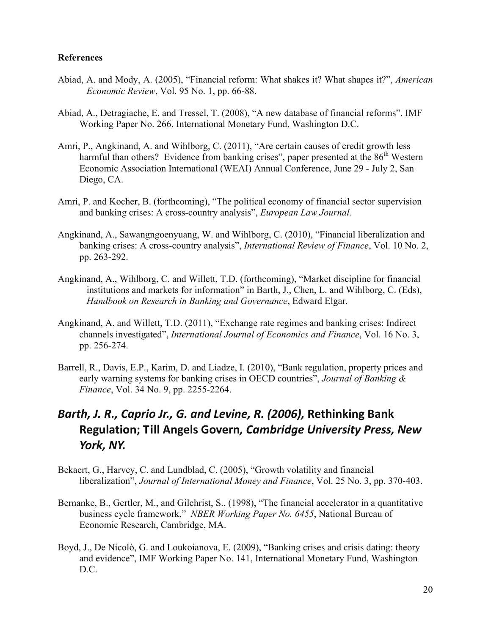#### **References**

- Abiad, A. and Mody, A. (2005), "Financial reform: What shakes it? What shapes it?", *American Economic Review*, Vol. 95 No. 1, pp. 66-88.
- Abiad, A., Detragiache, E. and Tressel, T. (2008), "A new database of financial reforms", IMF Working Paper No. 266, International Monetary Fund, Washington D.C.
- Amri, P., Angkinand, A. and Wihlborg, C. (2011), "Are certain causes of credit growth less harmful than others? Evidence from banking crises", paper presented at the 86<sup>th</sup> Western Economic Association International (WEAI) Annual Conference, June 29 - July 2, San Diego, CA.
- Amri, P. and Kocher, B. (forthcoming), "The political economy of financial sector supervision and banking crises: A cross-country analysis", *European Law Journal.*
- Angkinand, A., Sawangngoenyuang, W. and Wihlborg, C. (2010), "Financial liberalization and banking crises: A cross-country analysis", *International Review of Finance*, Vol. 10 No. 2, pp. 263-292.
- Angkinand, A., Wihlborg, C. and Willett, T.D. (forthcoming), "Market discipline for financial institutions and markets for information" in Barth, J., Chen, L. and Wihlborg, C. (Eds), *Handbook on Research in Banking and Governance*, Edward Elgar.
- Angkinand, A. and Willett, T.D. (2011), "Exchange rate regimes and banking crises: Indirect channels investigated", *International Journal of Economics and Finance*, Vol. 16 No. 3, pp. 256-274.
- Barrell, R., Davis, E.P., Karim, D. and Liadze, I. (2010), "Bank regulation, property prices and early warning systems for banking crises in OECD countries", *Journal of Banking & Finance*, Vol. 34 No. 9, pp. 2255-2264.

## *Barth, J. R., Caprio Jr., G. and Levine, R. (2006),* **Rethinking Bank Regulation; Till Angels Govern***, Cambridge University Press, New York, NY.*

- Bekaert, G., Harvey, C. and Lundblad, C. (2005), "Growth volatility and financial liberalization", *Journal of International Money and Finance*, Vol. 25 No. 3, pp. 370-403.
- Bernanke, B., Gertler, M., and Gilchrist, S., (1998), "The financial accelerator in a quantitative business cycle framework," *NBER Working Paper No. 6455*, National Bureau of Economic Research, Cambridge, MA.
- Boyd, J., De Nicolò, G. and Loukoianova, E. (2009), "Banking crises and crisis dating: theory and evidence", IMF Working Paper No. 141, International Monetary Fund, Washington D.C.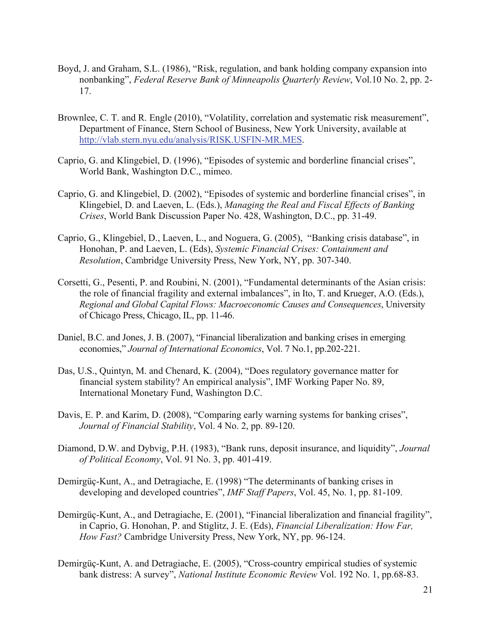- Boyd, J. and Graham, S.L. (1986), "Risk, regulation, and bank holding company expansion into nonbanking", *Federal Reserve Bank of Minneapolis Quarterly Review*, Vol.10 No. 2, pp. 2- 17.
- Brownlee, C. T. and R. Engle (2010), "Volatility, correlation and systematic risk measurement", Department of Finance, Stern School of Business, New York University, available at http://vlab.stern.nyu.edu/analysis/RISK.USFIN-MR.MES.
- Caprio, G. and Klingebiel, D. (1996), "Episodes of systemic and borderline financial crises", World Bank, Washington D.C., mimeo.
- Caprio, G. and Klingebiel, D. (2002), "Episodes of systemic and borderline financial crises", in Klingebiel, D. and Laeven, L. (Eds.), *Managing the Real and Fiscal Effects of Banking Crises*, World Bank Discussion Paper No. 428, Washington, D.C., pp. 31-49.
- Caprio, G., Klingebiel, D., Laeven, L., and Noguera, G. (2005), "Banking crisis database", in Honohan, P. and Laeven, L. (Eds), *Systemic Financial Crises: Containment and Resolution*, Cambridge University Press, New York, NY, pp. 307-340.
- Corsetti, G., Pesenti, P. and Roubini, N. (2001), "Fundamental determinants of the Asian crisis: the role of financial fragility and external imbalances", in Ito, T. and Krueger, A.O. (Eds.), *Regional and Global Capital Flows: Macroeconomic Causes and Consequences*, University of Chicago Press, Chicago, IL, pp. 11-46.
- Daniel, B.C. and Jones, J. B. (2007), "Financial liberalization and banking crises in emerging economies," *Journal of International Economics*, Vol. 7 No.1, pp.202-221.
- Das, U.S., Quintyn, M. and Chenard, K. (2004), "Does regulatory governance matter for financial system stability? An empirical analysis", IMF Working Paper No. 89, International Monetary Fund, Washington D.C.
- Davis, E. P. and Karim, D. (2008), "Comparing early warning systems for banking crises", *Journal of Financial Stability*, Vol. 4 No. 2, pp. 89-120.
- Diamond, D.W. and Dybvig, P.H. (1983), "Bank runs, deposit insurance, and liquidity", *Journal of Political Economy*, Vol. 91 No. 3, pp. 401-419.
- Demirgüç-Kunt, A., and Detragiache, E. (1998) "The determinants of banking crises in developing and developed countries", *IMF Staff Papers*, Vol. 45, No. 1, pp. 81-109.
- Demirgüç-Kunt, A., and Detragiache, E. (2001), "Financial liberalization and financial fragility", in Caprio, G. Honohan, P. and Stiglitz, J. E. (Eds), *Financial Liberalization: How Far, How Fast?* Cambridge University Press, New York, NY, pp. 96-124.
- Demirgüç-Kunt, A. and Detragiache, E. (2005), "Cross-country empirical studies of systemic bank distress: A survey", *National Institute Economic Review* Vol. 192 No. 1, pp.68-83.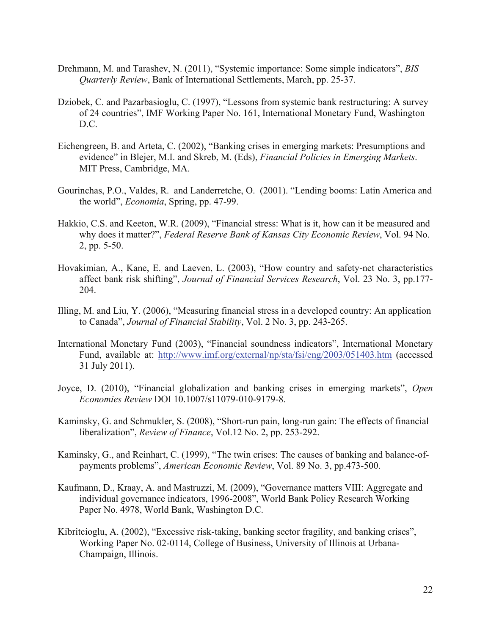- Drehmann, M. and Tarashev, N. (2011), "Systemic importance: Some simple indicators", *BIS Quarterly Review*, Bank of International Settlements, March, pp. 25-37.
- Dziobek, C. and Pazarbasioglu, C. (1997), "Lessons from systemic bank restructuring: A survey of 24 countries", IMF Working Paper No. 161, International Monetary Fund, Washington D.C.
- Eichengreen, B. and Arteta, C. (2002), "Banking crises in emerging markets: Presumptions and evidence" in Blejer, M.I. and Skreb, M. (Eds), *Financial Policies in Emerging Markets*. MIT Press, Cambridge, MA.
- Gourinchas, P.O., Valdes, R. and Landerretche, O. (2001). "Lending booms: Latin America and the world", *Economia*, Spring, pp. 47-99.
- Hakkio, C.S. and Keeton, W.R. (2009), "Financial stress: What is it, how can it be measured and why does it matter?", *Federal Reserve Bank of Kansas City Economic Review*, Vol. 94 No. 2, pp. 5-50.
- Hovakimian, A., Kane, E. and Laeven, L. (2003), "How country and safety-net characteristics affect bank risk shifting", *Journal of Financial Services Research*, Vol. 23 No. 3, pp.177- 204.
- Illing, M. and Liu, Y. (2006), "Measuring financial stress in a developed country: An application to Canada", *Journal of Financial Stability*, Vol. 2 No. 3, pp. 243-265.
- International Monetary Fund (2003), "Financial soundness indicators", International Monetary Fund, available at: http://www.imf.org/external/np/sta/fsi/eng/2003/051403.htm (accessed 31 July 2011).
- Joyce, D. (2010), "Financial globalization and banking crises in emerging markets", *Open Economies Review* DOI 10.1007/s11079-010-9179-8.
- Kaminsky, G. and Schmukler, S. (2008), "Short-run pain, long-run gain: The effects of financial liberalization", *Review of Finance*, Vol.12 No. 2, pp. 253-292.
- Kaminsky, G., and Reinhart, C. (1999), "The twin crises: The causes of banking and balance-ofpayments problems", *American Economic Review*, Vol. 89 No. 3, pp.473-500.
- Kaufmann, D., Kraay, A. and Mastruzzi, M. (2009), "Governance matters VIII: Aggregate and individual governance indicators, 1996-2008", World Bank Policy Research Working Paper No. 4978, World Bank, Washington D.C.
- Kibritcioglu, A. (2002), "Excessive risk-taking, banking sector fragility, and banking crises", Working Paper No. 02-0114, College of Business, University of Illinois at Urbana-Champaign, Illinois.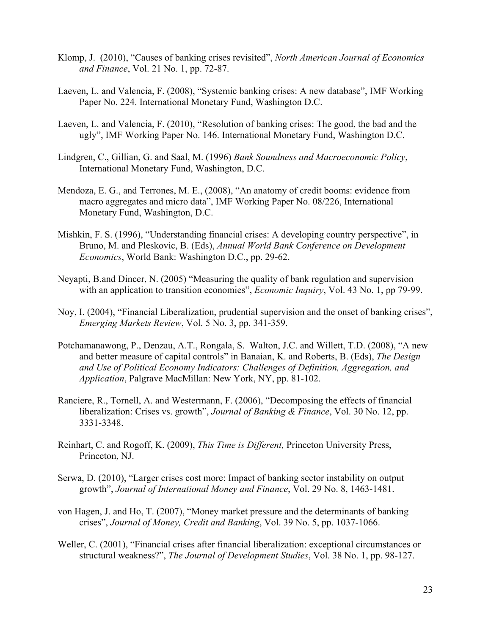- Klomp, J. (2010), "Causes of banking crises revisited", *North American Journal of Economics and Finance*, Vol. 21 No. 1, pp. 72-87.
- Laeven, L. and Valencia, F. (2008), "Systemic banking crises: A new database", IMF Working Paper No. 224. International Monetary Fund, Washington D.C.
- Laeven, L. and Valencia, F. (2010), "Resolution of banking crises: The good, the bad and the ugly", IMF Working Paper No. 146. International Monetary Fund, Washington D.C.
- Lindgren, C., Gillian, G. and Saal, M. (1996) *Bank Soundness and Macroeconomic Policy*, International Monetary Fund, Washington, D.C.
- Mendoza, E. G., and Terrones, M. E., (2008), "An anatomy of credit booms: evidence from macro aggregates and micro data", IMF Working Paper No. 08/226, International Monetary Fund, Washington, D.C.
- Mishkin, F. S. (1996), "Understanding financial crises: A developing country perspective", in Bruno, M. and Pleskovic, B. (Eds), *Annual World Bank Conference on Development Economics*, World Bank: Washington D.C., pp. 29-62.
- Neyapti, B.and Dincer, N. (2005) "Measuring the quality of bank regulation and supervision with an application to transition economies", *Economic Inquiry*, Vol. 43 No. 1, pp 79-99.
- Noy, I. (2004), "Financial Liberalization, prudential supervision and the onset of banking crises", *Emerging Markets Review*, Vol. 5 No. 3, pp. 341-359.
- Potchamanawong, P., Denzau, A.T., Rongala, S. Walton, J.C. and Willett, T.D. (2008), "A new and better measure of capital controls" in Banaian, K. and Roberts, B. (Eds), *The Design and Use of Political Economy Indicators: Challenges of Definition, Aggregation, and Application*, Palgrave MacMillan: New York, NY, pp. 81-102.
- Ranciere, R., Tornell, A. and Westermann, F. (2006), "Decomposing the effects of financial liberalization: Crises vs. growth", *Journal of Banking & Finance*, Vol. 30 No. 12, pp. 3331-3348.
- Reinhart, C. and Rogoff, K. (2009), *This Time is Different,* Princeton University Press, Princeton, NJ.
- Serwa, D. (2010), "Larger crises cost more: Impact of banking sector instability on output growth", *Journal of International Money and Finance*, Vol. 29 No. 8, 1463-1481.
- von Hagen, J. and Ho, T. (2007), "Money market pressure and the determinants of banking crises", *Journal of Money, Credit and Banking*, Vol. 39 No. 5, pp. 1037-1066.
- Weller, C. (2001), "Financial crises after financial liberalization: exceptional circumstances or structural weakness?", *The Journal of Development Studies*, Vol. 38 No. 1, pp. 98-127.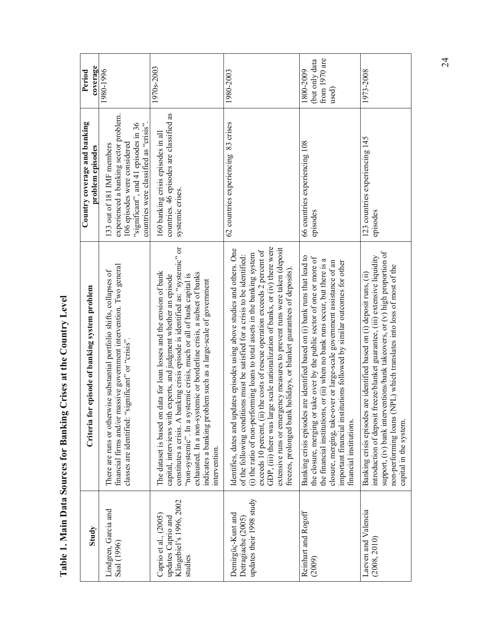| Study                                                                             | Criteria for episode of banking system problem                                                                                                                                                                                                                                                                                                                                                                                                                                                                                                                 | Country coverage and banking<br>problem episodes                                                                                                                                      | coverage<br>Period                                    |
|-----------------------------------------------------------------------------------|----------------------------------------------------------------------------------------------------------------------------------------------------------------------------------------------------------------------------------------------------------------------------------------------------------------------------------------------------------------------------------------------------------------------------------------------------------------------------------------------------------------------------------------------------------------|---------------------------------------------------------------------------------------------------------------------------------------------------------------------------------------|-------------------------------------------------------|
| Lindgren, Garcia and<br>Saal (1996)                                               | financial firms and/or massive government intervention. Two general<br>There are runs or otherwise substantial portfolio shifts, collapses of<br>'significant' or "crisis".<br>classes are identified: '                                                                                                                                                                                                                                                                                                                                                       | experienced a banking sector problem.<br>"significant", and 41 episodes in 36<br>countries were classified as "crisis".<br>106 episodes were considered<br>133 out of 181 IMF members | 1980-1996                                             |
| Klingebiel's 1996, 2002<br>Caprio et al., (2005)<br>updates Caprio and<br>studies | constitutes a crisis. A banking crisis episode is identified as: "systemic" or<br>The dataset is based on data for loan losses and the erosion of bank<br>exhausted. In a non-systemic or borderline crisis, a subset of banks<br>'non-systemic". In a systemic crisis, much or all of bank capital is<br>h experts, and judgment whether an episode<br>indicates a banking problem such as a large-scale of government<br>capital, interviews with<br>intervention.                                                                                           | countries. 46 episodes are classified as<br>160 banking crisis episodes in all<br>systemic crises.                                                                                    | 1970s-2003                                            |
| updates their 1998 study<br>Demirgüç-Kunt and<br>Detragiache (2005)               | GDP, (iii) there was large scale nationalization of banks, or (iv) there were<br>extensive runs or emergency measures to prevent runs were taken (deposit<br>Identifies, dates and updates episodes using above studies and others. One<br>exceeds 10 percent, (ii) the costs of rescue operation exceeds 2 percent of<br>(i) the ratio of non-performing loans to total assets in the banking system<br>of the following conditions must be satisfied for a crisis to be identified:<br>freezes, prolonged bank holidays, or blanket guarantees of deposits). | 62 countries experiencing 83 crises                                                                                                                                                   | 1980-2003                                             |
| Reinhart and Rogoff<br>(2009)                                                     | Banking crisis episodes are identified based on (i) bank runs that lead to<br>the closure, merging or take over by the public sector of one or more of<br>the financial institutions, or (ii) when no bank runs occur, but there is a<br>closure, merging, take-over or large-scale government assistance of an<br>important financial institutions followed by similar outcomes for other<br>financial institutions.                                                                                                                                          | 66 countries experiencing 108<br>episodes                                                                                                                                             | from 1970 are<br>(but only data<br>1800-2009<br>used) |
| Laeven and Valencia<br>(2008, 2010)                                               | support, (iv) bank interventions/bank takeovers, or (v) high proportion of<br>freeze/blanket guarantee, (iii) extensive liquidity<br>(NPL) which translates into loss of most of the<br>Banking crisis episodes are identified based on (i) deposit runs, (ii)<br>introduction of deposit<br>non-performing loans<br>capital in the system.                                                                                                                                                                                                                    | 123 countries experiencing 145<br>episodes                                                                                                                                            | 1973-2008                                             |

Table 1. Main Data Sources for Banking Crises at the Country Level **Table 1. Main Data Sources for Banking Crises at the Country Level** 

Г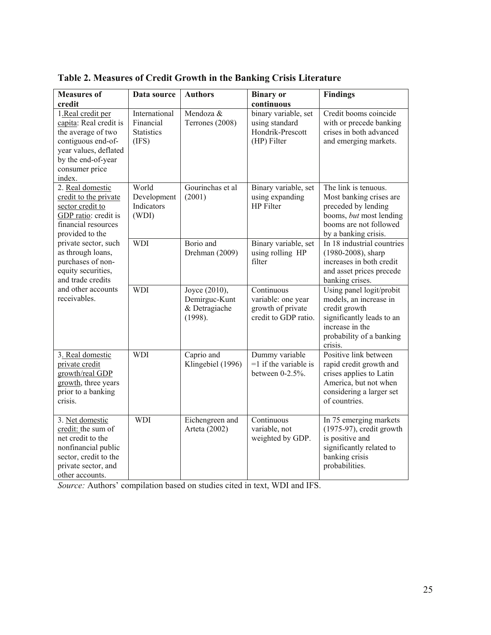| <b>Measures of</b>                                                                                                                                                 | Data source                                              | <b>Authors</b>                                             | <b>Binary</b> or                                                              | <b>Findings</b>                                                                                                                                            |
|--------------------------------------------------------------------------------------------------------------------------------------------------------------------|----------------------------------------------------------|------------------------------------------------------------|-------------------------------------------------------------------------------|------------------------------------------------------------------------------------------------------------------------------------------------------------|
| credit                                                                                                                                                             |                                                          |                                                            | continuous                                                                    |                                                                                                                                                            |
| 1.Real credit per<br>capita: Real credit is<br>the average of two<br>contiguous end-of-<br>year values, deflated<br>by the end-of-year<br>consumer price<br>index. | International<br>Financial<br><b>Statistics</b><br>(IFS) | Mendoza &<br>Terrones (2008)                               | binary variable, set<br>using standard<br>Hondrik-Prescott<br>(HP) Filter     | Credit booms coincide<br>with or precede banking<br>crises in both advanced<br>and emerging markets.                                                       |
| 2. Real domestic<br>credit to the private<br>sector credit to<br>GDP ratio: credit is<br>financial resources<br>provided to the                                    | World<br>Development<br>Indicators<br>(WDI)              | Gourinchas et al<br>(2001)                                 | Binary variable, set<br>using expanding<br>HP Filter                          | The link is tenuous.<br>Most banking crises are<br>preceded by lending<br>booms, but most lending<br>booms are not followed<br>by a banking crisis.        |
| private sector, such<br>as through loans,<br>purchases of non-<br>equity securities,<br>and trade credits                                                          | <b>WDI</b>                                               | Borio and<br>Drehman (2009)                                | Binary variable, set<br>using rolling HP<br>filter                            | In 18 industrial countries<br>(1980-2008), sharp<br>increases in both credit<br>and asset prices precede<br>banking crises.                                |
| and other accounts<br>receivables.                                                                                                                                 | <b>WDI</b>                                               | Joyce (2010),<br>Demirguc-Kunt<br>& Detragiache<br>(1998). | Continuous<br>variable: one year<br>growth of private<br>credit to GDP ratio. | Using panel logit/probit<br>models, an increase in<br>credit growth<br>significantly leads to an<br>increase in the<br>probability of a banking<br>crisis. |
| 3. Real domestic<br>private credit<br>growth/real GDP<br>growth, three years<br>prior to a banking<br>crisis.                                                      | <b>WDI</b>                                               | Caprio and<br>Klingebiel (1996)                            | Dummy variable<br>$=1$ if the variable is<br>between 0-2.5%.                  | Positive link between<br>rapid credit growth and<br>crises applies to Latin<br>America, but not when<br>considering a larger set<br>of countries.          |
| 3. Net domestic<br>credit: the sum of<br>net credit to the<br>nonfinancial public<br>sector, credit to the<br>private sector, and<br>other accounts.               | <b>WDI</b>                                               | Eichengreen and<br>Arteta (2002)                           | Continuous<br>variable, not<br>weighted by GDP.                               | In 75 emerging markets<br>$(1975-97)$ , credit growth<br>is positive and<br>significantly related to<br>banking crisis<br>probabilities.                   |

**Table 2. Measures of Credit Growth in the Banking Crisis Literature** 

*Source:* Authors' compilation based on studies cited in text, WDI and IFS.